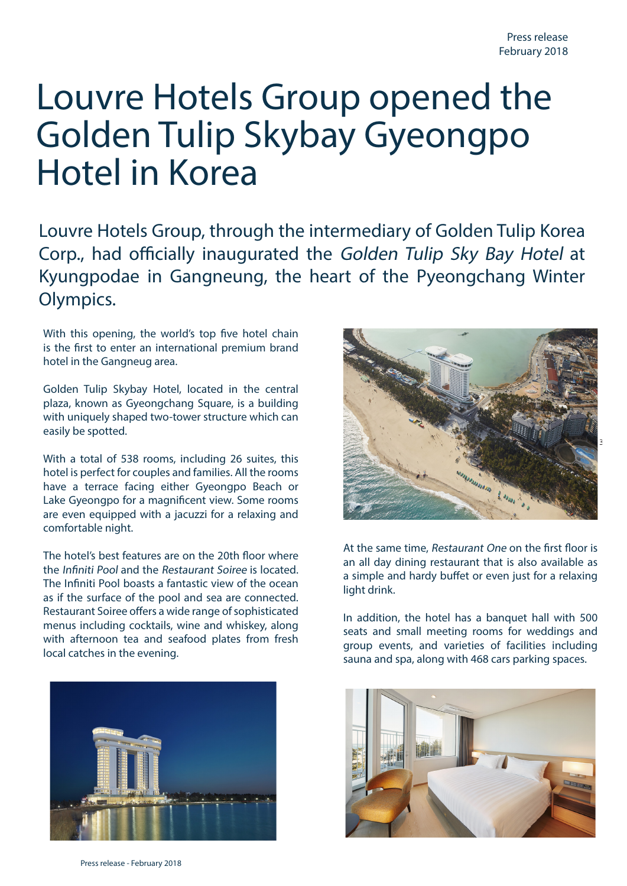## Louvre Hotels Group opened the Golden Tulip Skybay Gyeongpo Hotel in Korea

Louvre Hotels Group, through the intermediary of Golden Tulip Korea Corp., had officially inaugurated the Golden Tulip Sky Bay Hotel at Kyungpodae in Gangneung, the heart of the Pyeongchang Winter Olympics.

With this opening, the world's top five hotel chain is the first to enter an international premium brand hotel in the Gangneug area.

Golden Tulip Skybay Hotel, located in the central plaza, known as Gyeongchang Square, is a building with uniquely shaped two-tower structure which can easily be spotted.

With a total of 538 rooms, including 26 suites, this hotel is perfect for couples and families. All the rooms have a terrace facing either Gyeongpo Beach or Lake Gyeongpo for a magnificent view. Some rooms are even equipped with a jacuzzi for a relaxing and comfortable night.

The hotel's best features are on the 20th floor where the Infiniti Pool and the Restaurant Soiree is located. The Infiniti Pool boasts a fantastic view of the ocean as if the surface of the pool and sea are connected. Restaurant Soiree offers a wide range of sophisticated menus including cocktails, wine and whiskey, along with afternoon tea and seafood plates from fresh local catches in the evening.





At the same time, Restaurant One on the first floor is an all day dining restaurant that is also available as a simple and hardy buffet or even just for a relaxing light drink.

In addition, the hotel has a banquet hall with 500 seats and small meeting rooms for weddings and group events, and varieties of facilities including sauna and spa, along with 468 cars parking spaces.